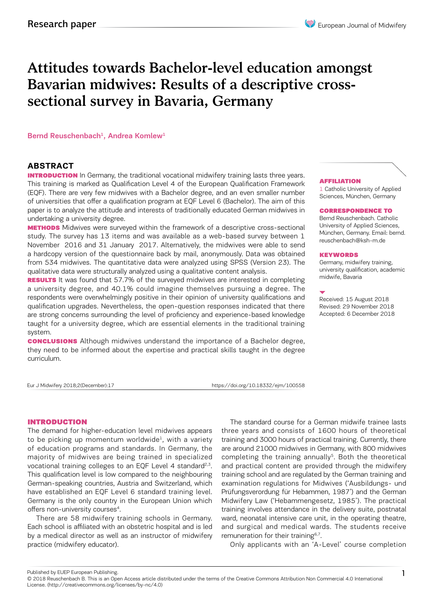# Attitudes towards Bachelor-level education amongst Bavarian midwives: Results of a descriptive crosssectional survey in Bavaria, Germany

Bernd Reuschenbach<sup>1</sup>, Andrea Komlew<sup>1</sup>

### **ABSTRACT**

**INTRODUCTION** In Germany, the traditional vocational midwifery training lasts three years. This training is marked as Qualification Level 4 of the European Qualification Framework (EQF). There are very few midwives with a Bachelor degree, and an even smaller number of universities that offer a qualification program at EQF Level 6 (Bachelor). The aim of this paper is to analyze the attitude and interests of traditionally educated German midwives in undertaking a university degree.

**METHODS** Midwives were surveyed within the framework of a descriptive cross-sectional study. The survey has 13 items and was available as a web-based survey between 1 November 2016 and 31 January 2017. Alternatively, the midwives were able to send a hardcopy version of the questionnaire back by mail, anonymously. Data was obtained from 534 midwives. The quantitative data were analyzed using SPSS (Version 23). The qualitative data were structurally analyzed using a qualitative content analysis.

**RESULTS** It was found that 57.7% of the surveyed midwives are interested in completing a university degree, and 40.1% could imagine themselves pursuing a degree. The respondents were overwhelmingly positive in their opinion of university qualifications and qualification upgrades. Nevertheless, the open-question responses indicated that there are strong concerns surrounding the level of proficiency and experience-based knowledge taught for a university degree, which are essential elements in the traditional training system.

**CONCLUSIONS** Although midwives understand the importance of a Bachelor degree, they need to be informed about the expertise and practical skills taught in the degree curriculum.

Eur J Midwifery 2018;2(December):17 https://doi.org/10.18332/ejm/100558

#### AFFILIATION

1 Catholic University of Applied Sciences, München, Germany

#### CORRESPONDENCE TO

Bernd Reuschenbach. Catholic University of Applied Sciences, München, Germany. Email: bernd. reuschenbach@ksh-m.de

#### KEYWORDS

Germany, midwifery training, university qualification, academic midwife, Bavaria

Received: 15 August 2018 Revised: 29 November 2018 Accepted: 6 December 2018

#### INTRODUCTION

The demand for higher-education level midwives appears to be picking up momentum worldwide $1$ , with a variety of education programs and standards. In Germany, the majority of midwives are being trained in specialized vocational training colleges to an EQF Level 4 standard<sup>2,3</sup>. This qualification level is low compared to the neighbouring German-speaking countries, Austria and Switzerland, which have established an EQF Level 6 standard training level. Germany is the only country in the European Union which offers non-university courses<sup>4</sup>.

There are 58 midwifery training schools in Germany. Each school is affiliated with an obstetric hospital and is led by a medical director as well as an instructor of midwifery practice (midwifery educator).

The standard course for a German midwife trainee lasts three years and consists of 1600 hours of theoretical training and 3000 hours of practical training. Currently, there are around 21000 midwives in Germany, with 800 midwives completing the training annually<sup>5</sup>. Both the theoretical and practical content are provided through the midwifery training school and are regulated by the German training and examination regulations for Midwives ('Ausbildungs- und Prüfungsverordung für Hebammen, 1987') and the German Midwifery Law ('Hebammengesetz, 1985'). The practical training involves attendance in the delivery suite, postnatal ward, neonatal intensive care unit, in the operating theatre, and surgical and medical wards. The students receive remuneration for their training<sup>6,7</sup>.

Only applicants with an 'A-Level' course completion

Published by EUEP European Publishing.

<sup>© 2018</sup> Reuschenbach B. This is an Open Access article distributed under the terms of the Creative Commons Attribution Non Commercial 4.0 International License. (http://creativecommons.org/licenses/by-nc/4.0)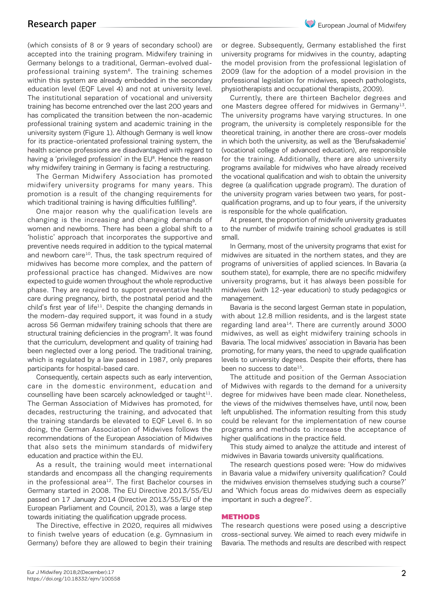(which consists of 8 or 9 years of secondary school) are accepted into the training program. Midwifery training in Germany belongs to a traditional, German-evolved dualprofessional training system<sup>6</sup>. The training schemes within this system are already embedded in the secondary education level (EQF Level 4) and not at university level. The institutional separation of vocational and university training has become entrenched over the last 200 years and has complicated the transition between the non-academic professional training system and academic training in the university system (Figure 1). Although Germany is well know for its practice-orientated professional training system, the health science professions are disadvantaged with regard to having a 'privileged profession' in the EU<sup>8</sup>. Hence the reason why midwifery training in Germany is facing a restructuring.

The German Midwifery Association has promoted midwifery university programs for many years. This promotion is a result of the changing requirements for which traditional training is having difficulties fulfilling<sup>9</sup>.

One major reason why the qualification levels are changing is the increasing and changing demands of women and newborns. There has been a global shift to a 'holistic' approach that incorporates the supportive and preventive needs required in addition to the typical maternal and newborn care<sup>10</sup>. Thus, the task spectrum required of midwives has become more complex, and the pattern of professional practice has changed. Midwives are now expected to guide women throughout the whole reproductive phase. They are required to support preventative health care during pregnancy, birth, the postnatal period and the child's first year of life<sup>11</sup>. Despite the changing demands in the modern-day required support, it was found in a study across 56 German midwifery training schools that there are structural training deficiencies in the program<sup>3</sup>. It was found that the curriculum, development and quality of training had been neglected over a long period. The traditional training, which is regulated by a law passed in 1987, only prepares participants for hospital-based care.

Consequently, certain aspects such as early intervention, care in the domestic environment, education and counselling have been scarcely acknowledged or taught $11$ . The German Association of Midwives has promoted, for decades, restructuring the training, and advocated that the training standards be elevated to EQF Level 6. In so doing, the German Association of Midwives follows the recommendations of the European Association of Midwives that also sets the minimum standards of midwifery education and practice within the EU.

As a result, the training would meet international standards and encompass all the changing requirements in the professional area $^{12}$ . The first Bachelor courses in Germany started in 2008. The EU Directive 2013/55/EU passed on 17 January 2014 (Directive 2013/55/EU of the European Parliament and Council, 2013), was a large step towards initiating the qualification upgrade process.

The Directive, effective in 2020, requires all midwives to finish twelve years of education (e.g. Gymnasium in Germany) before they are allowed to begin their training or degree. Subsequently, Germany established the first university programs for midwives in the country, adapting the model provision from the professional legislation of 2009 (law for the adoption of a model provision in the professional legislation for midwives, speech pathologists, physiotherapists and occupational therapists, 2009).

Currently, there are thirteen Bachelor degrees and one Masters degree offered for midwives in Germany<sup>13</sup>. The university programs have varying structures. In one program, the university is completely responsible for the theoretical training, in another there are cross-over models in which both the university, as well as the 'Berufsakademie' (vocational college of advanced education), are responsible for the training. Additionally, there are also university programs available for midwives who have already received the vocational qualification and wish to obtain the university degree (a qualification upgrade program). The duration of the university program varies between two years, for postqualification programs, and up to four years, if the university is responsible for the whole qualification.

At present, the proportion of midwife university graduates to the number of midwife training school graduates is still small.

In Germany, most of the university programs that exist for midwives are situated in the northern states, and they are programs of universities of applied sciences. In Bavaria (a southern state), for example, there are no specific midwifery university programs, but it has always been possible for midwives (with 12-year education) to study pedagogics or management.

Bavaria is the second largest German state in population, with about 12.8 million residents, and is the largest state regarding land area<sup>14</sup>. There are currently around 3000 midwives, as well as eight midwifery training schools in Bavaria. The local midwives' association in Bavaria has been promoting, for many years, the need to upgrade qualification levels to university degrees. Despite their efforts, there has been no success to date<sup>15</sup>.

The attitude and position of the German Association of Midwives with regards to the demand for a university degree for midwives have been made clear. Nonetheless, the views of the midwives themselves have, until now, been left unpublished. The information resulting from this study could be relevant for the implementation of new course programs and methods to increase the acceptance of higher qualifications in the practice field.

This study aimed to analyze the attitude and interest of midwives in Bavaria towards university qualifications.

The research questions posed were: 'How do midwives in Bavaria value a midwifery university qualification? Could the midwives envision themselves studying such a course?' and 'Which focus areas do midwives deem as especially important in such a degree?'.

#### METHODS

The research questions were posed using a descriptive cross-sectional survey. We aimed to reach every midwife in Bavaria. The methods and results are described with respect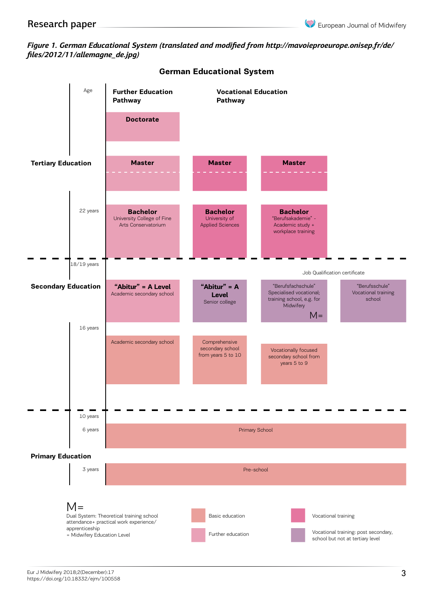# *Figure 1. German Educational System (translated and modified from http://mavoieproeurope.onisep.fr/de/ files/2012/11/allemagne\_de.jpg)*



**German Educational System**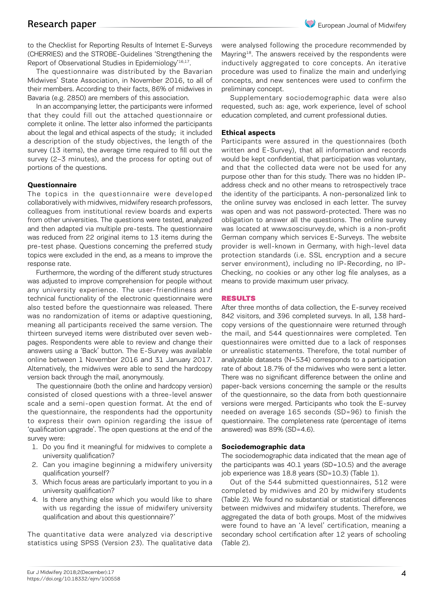to the Checklist for Reporting Results of Internet E-Surveys (CHERRIES) and the STROBE-Guidelines 'Strengthening the Report of Observational Studies in Epidemiology'<sup>16,17</sup>.

The questionnaire was distributed by the Bavarian Midwives' State Association, in November 2016, to all of their members. According to their facts, 86% of midwives in Bavaria (e.g. 2850) are members of this association.

In an accompanying letter, the participants were informed that they could fill out the attached questionnaire or complete it online. The letter also informed the participants about the legal and ethical aspects of the study; it included a description of the study objectives, the length of the survey (13 items), the average time required to fill out the survey (2–3 minutes), and the process for opting out of portions of the questions.

### **Questionnaire**

The topics in the questionnaire were developed collaboratively with midwives, midwifery research professors, colleagues from institutional review boards and experts from other universities. The questions were tested, analyzed and then adapted via multiple pre-tests. The questionnaire was reduced from 22 original items to 13 items during the pre-test phase. Questions concerning the preferred study topics were excluded in the end, as a means to improve the response rate.

Furthermore, the wording of the different study structures was adjusted to improve comprehension for people without any university experience. The user-friendliness and technical functionality of the electronic questionnaire were also tested before the questionnaire was released. There was no randomization of items or adaptive questioning, meaning all participants received the same version. The thirteen surveyed items were distributed over seven webpages. Respondents were able to review and change their answers using a 'Back' button. The E-Survey was available online between 1 November 2016 and 31 January 2017. Alternatively, the midwives were able to send the hardcopy version back through the mail, anonymously.

The questionnaire (both the online and hardcopy version) consisted of closed questions with a three-level answer scale and a semi-open question format. At the end of the questionnaire, the respondents had the opportunity to express their own opinion regarding the issue of 'qualification upgrade'. The open questions at the end of the survey were:

- 1. Do you find it meaningful for midwives to complete a university qualification?
- 2. Can you imagine beginning a midwifery university qualification yourself?
- 3. Which focus areas are particularly important to you in a university qualification?
- 4. Is there anything else which you would like to share with us regarding the issue of midwifery university qualification and about this questionnaire?'

The quantitative data were analyzed via descriptive statistics using SPSS (Version 23). The qualitative data were analysed following the procedure recommended by Mavring<sup>18</sup>. The answers received by the respondents were inductively aggregated to core concepts. An iterative procedure was used to finalize the main and underlying concepts, and new sentences were used to confirm the preliminary concept.

Supplementary sociodemographic data were also requested, such as: age, work experience, level of school education completed, and current professional duties.

### **Ethical aspects**

Participants were assured in the questionnaires (both written and E-Survey), that all information and records would be kept confidential, that participation was voluntary, and that the collected data were not be used for any purpose other than for this study. There was no hidden IPaddress check and no other means to retrospectively trace the identity of the participants. A non-personalized link to the online survey was enclosed in each letter. The survey was open and was not password-protected. There was no obligation to answer all the questions. The online survey was located at www.soscisurvey.de, which is a non-profit German company which services E-Surveys. The website provider is well-known in Germany, with high-level data protection standards (i.e. SSL encryption and a secure server environment), including no IP-Recording, no IP-Checking, no cookies or any other log file analyses, as a means to provide maximum user privacy.

### RESULTS

After three months of data collection, the E-survey received 842 visitors, and 396 completed surveys. In all, 138 hardcopy versions of the questionnaire were returned through the mail, and 544 questionnaires were completed. Ten questionnaires were omitted due to a lack of responses or unrealistic statements. Therefore, the total number of analyzable datasets (N=534) corresponds to a participation rate of about 18.7% of the midwives who were sent a letter. There was no significant difference between the online and paper-back versions concerning the sample or the results of the questionnaire, so the data from both questionnaire versions were merged. Participants who took the E-survey needed on average 165 seconds (SD=96) to finish the questionnaire. The completeness rate (percentage of items answered) was 89% (SD=4.6).

### **Sociodemographic data**

The sociodemographic data indicated that the mean age of the participants was 40.1 years (SD=10.5) and the average job experience was 18.8 years (SD=10.3) (Table 1).

Out of the 544 submitted questionnaires, 512 were completed by midwives and 20 by midwifery students (Table 2). We found no substantial or statistical differences between midwives and midwifery students. Therefore, we aggregated the data of both groups. Most of the midwives were found to have an 'A level' certification, meaning a secondary school certification after 12 years of schooling (Table 2).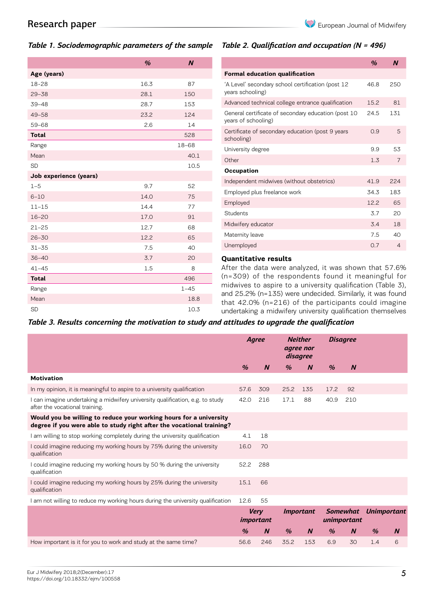# *Table 1. Sociodemographic parameters of the sample*

|  |  | Table 2. Qualification and occupation (N = 496) |  |  |
|--|--|-------------------------------------------------|--|--|
|--|--|-------------------------------------------------|--|--|

|                        | $\frac{a}{b}$ | $\boldsymbol{N}$ |
|------------------------|---------------|------------------|
| Age (years)            |               |                  |
| 18-28                  | 16.3          | 87               |
| $29 - 38$              | 28.1          | 150              |
| $39 - 48$              | 28.7          | 153              |
| $49 - 58$              | 23.2          | 124              |
| $59 - 68$              | 2.6           | 14               |
| <b>Total</b>           |               | 528              |
| Range                  |               | $18 - 68$        |
| Mean                   |               | 40.1             |
| <b>SD</b>              |               | 10.5             |
| Job experience (years) |               |                  |
| $1 - 5$                | 9.7           | 52               |
| $6 - 10$               | 14.0          | 75               |
| $11 - 15$              | 14.4          | 77               |
| $16 - 20$              | 17.0          | 91               |
| $21 - 25$              | 12.7          | 68               |
| $26 - 30$              | 12.2          | 65               |
| $31 - 35$              | 7.5           | 40               |
| $36 - 40$              | 3.7           | 20               |
| $41 - 45$              | 1.5           | 8                |
| <b>Total</b>           |               | 496              |
| Range                  |               | $1 - 45$         |
| Mean                   |               | 18.8             |
| <b>SD</b>              |               | 10.3             |

|                                                                            | %    | N              |
|----------------------------------------------------------------------------|------|----------------|
| <b>Formal education qualification</b>                                      |      |                |
| 'A Level' secondary school certification (post 12<br>years schooling)      | 46.8 | 250            |
| Advanced technical college entrance qualification                          | 15.2 | 81             |
| General certificate of secondary education (post 10<br>years of schooling) | 24.5 | 131            |
| Certificate of secondary education (post 9 years<br>schooling)             | 0.9  | 5              |
| University degree                                                          | 99   | 53             |
| Other                                                                      | 1.3  | 7              |
| Occupation                                                                 |      |                |
| Independent midwives (without obstetrics)                                  | 41.9 | 224            |
| Employed plus freelance work                                               | 34.3 | 183            |
| Employed                                                                   | 12.2 | 65             |
| Students                                                                   | 3.7  | 20             |
| Midwifery educator                                                         | 3.4  | 18             |
| Maternity leave                                                            | 7.5  | 40             |
| Unemployed                                                                 | 0.7  | $\overline{4}$ |
|                                                                            |      |                |

### **Quantitative results**

After the data were analyzed, it was shown that 57.6% (n=309) of the respondents found it meaningful for midwives to aspire to a university qualification (Table 3), and 25.2% (n=135) were undecided. Similarly, it was found that 42.0% (n=216) of the participants could imagine undertaking a midwifery university qualification themselves

### *Table 3. Results concerning the motivation to study and attitudes to upgrade the qualification*

|                                                                                                                                             | <b>Neither</b><br>Agree<br>agree nor<br>disagree |                  |               | <b>Disagree</b>  |               |                                |                    |                  |
|---------------------------------------------------------------------------------------------------------------------------------------------|--------------------------------------------------|------------------|---------------|------------------|---------------|--------------------------------|--------------------|------------------|
|                                                                                                                                             | $\frac{9}{6}$                                    | $\boldsymbol{N}$ | $\frac{9}{6}$ | $\boldsymbol{N}$ | $\frac{9}{6}$ | $\boldsymbol{N}$               |                    |                  |
| <b>Motivation</b>                                                                                                                           |                                                  |                  |               |                  |               |                                |                    |                  |
| In my opinion, it is meaningful to aspire to a university qualification                                                                     | 57.6                                             | 309              | 25.2          | 135              | 17.2          | 92                             |                    |                  |
| I can imagine undertaking a midwifery university qualification, e.g. to study<br>after the vocational training.                             | 42.0                                             | 216              | 17.1          | 88               | 40.9          | 210                            |                    |                  |
| Would you be willing to reduce your working hours for a university<br>degree if you were able to study right after the vocational training? |                                                  |                  |               |                  |               |                                |                    |                  |
| I am willing to stop working completely during the university qualification                                                                 | 4.1                                              | 18               |               |                  |               |                                |                    |                  |
| I could imagine reducing my working hours by 75% during the university<br>qualification                                                     | 16.0                                             | 70               |               |                  |               |                                |                    |                  |
| I could imagine reducing my working hours by 50 % during the university<br>qualification                                                    | 52.2                                             | 288              |               |                  |               |                                |                    |                  |
| I could imagine reducing my working hours by 25% during the university<br>qualification                                                     | 15.1                                             | 66               |               |                  |               |                                |                    |                  |
| I am not willing to reduce my working hours during the university qualification                                                             | 12.6                                             | 55               |               |                  |               |                                |                    |                  |
|                                                                                                                                             | <b>Very</b><br><i>important</i>                  |                  |               | <i>Important</i> |               | <b>Somewhat</b><br>unimportant | <b>Unimportant</b> |                  |
|                                                                                                                                             | $\frac{9}{6}$                                    | $\boldsymbol{N}$ | $\frac{9}{6}$ | $\boldsymbol{N}$ | $\%$          | $\boldsymbol{N}$               | $\frac{1}{2}$      | $\boldsymbol{N}$ |
| How important is it for you to work and study at the same time?                                                                             | 56.6                                             | 246              | 35.2          | 153              | 6.9           | 30                             | 1.4                | 6                |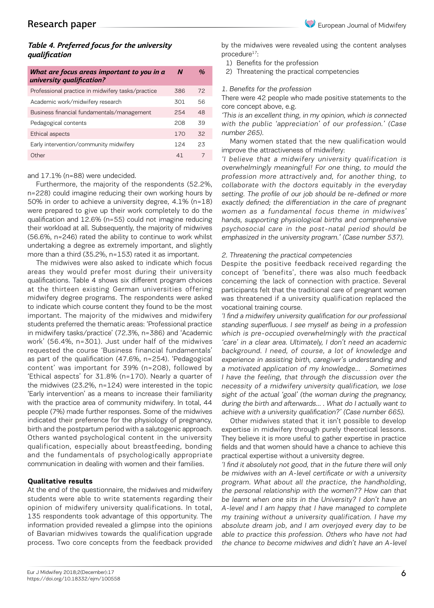# *Table 4. Preferred focus for the university qualification*

| What are focus areas important to you in a<br>university qualification? | N   | $\frac{a}{2}$ |
|-------------------------------------------------------------------------|-----|---------------|
| Professional practice in midwifery tasks/practice                       | 386 | 72            |
| Academic work/midwifery research                                        | 301 | 56            |
| Business financial fundamentals/management                              | 254 | 48            |
| Pedagogical contents                                                    | 208 | .39           |
| Ethical aspects                                                         | 170 | 32            |
| Early intervention/community midwifery                                  | 124 | 23            |
| 0ther                                                                   | 41  |               |

### and 17.1% (n=88) were undecided.

Furthermore, the majority of the respondents (52.2%, n=228) could imagine reducing their own working hours by 50% in order to achieve a university degree, 4.1% (n=18) were prepared to give up their work completely to do the qualification and 12.6% (n=55) could not imagine reducing their workload at all. Subsequently, the majority of midwives (56.6%, n=246) rated the ability to continue to work whilst undertaking a degree as extremely important, and slightly more than a third (35.2%, n=153) rated it as important.

The midwives were also asked to indicate which focus areas they would prefer most during their university qualifications. Table 4 shows six different program choices at the thirteen existing German universities offering midwifery degree programs. The respondents were asked to indicate which course content they found to be the most important. The majority of the midwives and midwifery students preferred the thematic areas: 'Professional practice in midwifery tasks/practice' (72.3%, n=386) and 'Academic work' (56.4%, n=301). Just under half of the midwives requested the course 'Business financial fundamentals' as part of the qualification (47.6%, n=254). 'Pedagogical content' was important for 39% (n=208), followed by 'Ethical aspects' for 31.8% (n=170). Nearly a quarter of the midwives (23.2%, n=124) were interested in the topic 'Early intervention' as a means to increase their familiarity with the practice area of community midwifery. In total, 44 people (7%) made further responses. Some of the midwives indicated their preference for the physiology of pregnancy, birth and the postpartum period with a salutogenic approach. Others wanted psychological content in the university qualification, especially about breastfeeding, bonding and the fundamentals of psychologically appropriate communication in dealing with women and their families.

### **Qualitative results**

At the end of the questionnaire, the midwives and midwifery students were able to write statements regarding their opinion of midwifery university qualifications. In total, 135 respondents took advantage of this opportunity. The information provided revealed a glimpse into the opinions of Bavarian midwives towards the qualification upgrade process. Two core concepts from the feedback provided by the midwives were revealed using the content analyses procedure<sup>17</sup>:

- 1) Benefits for the profession
- 2) Threatening the practical competencies

### 1. Benefits for the profession

There were 42 people who made positive statements to the core concept above, e.g.

'This is an excellent thing, in my opinion, which is connected with the public 'appreciation' of our profession.' (Case number 265).

Many women stated that the new qualification would improve the attractiveness of midwifery:

'I believe that a midwifery university qualification is overwhelmingly meaningful! For one thing, to mould the profession more attractively and, for another thing, to collaborate with the doctors equitably in the everyday setting. The profile of our job should be re-defined or more exactly defined; the differentiation in the care of pregnant women as a fundamental focus theme in midwives' hands, supporting physiological births and comprehensive psychosocial care in the post-natal period should be emphasized in the university program.' (Case number 537).

### 2. Threatening the practical competencies

Despite the positive feedback received regarding the concept of 'benefits', there was also much feedback concerning the lack of connection with practice. Several participants felt that the traditional care of pregnant women was threatened if a university qualification replaced the vocational training course.

'I find a midwifery university qualification for our professional standing superfluous. I see myself as being in a profession which is pre-occupied overwhelmingly with the practical 'care' in a clear area. Ultimately, I don't need an academic background. I need, of course, a lot of knowledge and experience in assisting birth, caregiver's understanding and a motivated application of my knowledge… . Sometimes I have the feeling, that through the discussion over the necessity of a midwifery university qualification, we lose sight of the actual 'goal' (the woman during the pregnancy, during the birth and afterwards… . What do I actually want to achieve with a university qualification?' (Case number 665).

Other midwives stated that it isn't possible to develop expertise in midwifery through purely theoretical lessons. They believe it is more useful to gather expertise in practice fields and that women should have a chance to achieve this practical expertise without a university degree.

'I find it absolutely not good, that in the future there will only be midwives with an A-level certificate or with a university program. What about all the practice, the handholding, the personal relationship with the women?? How can that be learnt when one sits in the University? I don't have an A-level and I am happy that I have managed to complete my training without a university qualification. I have my absolute dream job, and I am overjoyed every day to be able to practice this profession. Others who have not had the chance to become midwives and didn't have an A-level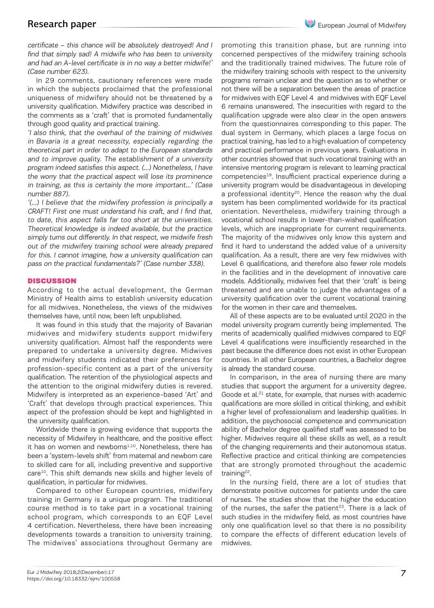certificate – this chance will be absolutely destroyed! And I find that simply sad! A midwife who has been to university and had an A-level certificate is in no way a better midwife!' (Case number 623).

In 29 comments, cautionary references were made in which the subjects proclaimed that the professional uniqueness of midwifery should not be threatened by a university qualification. Midwifery practice was described in the comments as a 'craft' that is promoted fundamentally through good quality and practical training.

'I also think, that the overhaul of the training of midwives in Bavaria is a great necessity, especially regarding the theoretical part in order to adapt to the European standards and to improve quality. The establishment of a university program indeed satisfies this aspect. (…) Nonetheless, I have the worry that the practical aspect will lose its prominence in training, as this is certainly the more important…' (Case number 887).

'(…) I believe that the midwifery profession is principally a CRAFT! First one must understand his craft, and I find that, to date, this aspect falls far too short at the universities. Theoretical knowledge is indeed available, but the practice simply turns out differently. In that respect, we midwife fresh out of the midwifery training school were already prepared for this. I cannot imagine, how a university qualification can pass on the practical fundamentals?' (Case number 338).

### DISCUSSION

According to the actual development, the German Ministry of Health aims to establish university education for all midwives. Nonetheless, the views of the midwives themselves have, until now, been left unpublished.

It was found in this study that the majority of Bavarian midwives and midwifery students support midwifery university qualification. Almost half the respondents were prepared to undertake a university degree. Midwives and midwifery students indicated their preferences for profession-specific content as a part of the university qualification. The retention of the physiological aspects and the attention to the original midwifery duties is revered. Midwifery is interpreted as an experience-based 'Art' and 'Craft' that develops through practical experiences. This aspect of the profession should be kept and highlighted in the university qualification.

Worldwide there is growing evidence that supports the necessity of Midwifery in healthcare, and the positive effect it has on women and newborns<sup>1,10</sup>. Nonetheless, there has been a 'system-levels shift' from maternal and newborn care to skilled care for all, including preventive and supportive care<sup>10</sup>. This shift demands new skills and higher levels of qualification, in particular for midwives.

Compared to other European countries, midwifery training in Germany is a unique program. The traditional course method is to take part in a vocational training school program, which corresponds to an EQF Level 4 certification. Nevertheless, there have been increasing developments towards a transition to university training. The midwives' associations throughout Germany are

promoting this transition phase, but are running into concerned perspectives of the midwifery training schools and the traditionally trained midwives. The future role of the midwifery training schools with respect to the university programs remain unclear and the question as to whether or not there will be a separation between the areas of practice for midwives with EQF Level 4 and midwives with EQF Level 6 remains unanswered. The insecurities with regard to the qualification upgrade were also clear in the open answers from the questionnaires corresponding to this paper. The dual system in Germany, which places a large focus on practical training, has led to a high evaluation of competency and practical performance in previous years. Evaluations in other countries showed that such vocational training with an intensive mentoring program is relevant to learning practical competencies19. Insufficient practical experience during a university program would be disadvantageous in developing a professional identity<sup>20</sup>. Hence the reason why the dual system has been complimented worldwide for its practical orientation. Nevertheless, midwifery training through a vocational school results in lower-than-wished qualification levels, which are inappropriate for current requirements. The majority of the midwives only know this system and find it hard to understand the added value of a university qualification. As a result, there are very few midwives with Level 6 qualifications, and therefore also fewer role models in the facilities and in the development of innovative care models. Additionally, midwives feel that their 'craft' is being threatened and are unable to judge the advantages of a university qualification over the current vocational training for the women in their care and themselves.

All of these aspects are to be evaluated until 2020 in the model university program currently being implemented. The merits of academically qualified midwives compared to EQF Level 4 qualifications were insufficiently researched in the past because the difference does not exist in other European countries. In all other European countries, a Bachelor degree is already the standard course.

In comparison, in the area of nursing there are many studies that support the argument for a university degree. Goode et al.<sup>21</sup> state, for example, that nurses with academic qualifications are more skilled in critical thinking, and exhibit a higher level of professionalism and leadership qualities. In addition, the psychosocial competence and communication ability of Bachelor degree qualified staff was assessed to be higher. Midwives require all these skills as well, as a result of the changing requirements and their autonomous status. Reflective practice and critical thinking are competencies that are strongly promoted throughout the academic training<sup>22</sup>.

In the nursing field, there are a lot of studies that demonstrate positive outcomes for patients under the care of nurses. The studies show that the higher the education of the nurses, the safer the patient<sup>23</sup>. There is a lack of such studies in the midwifery field, as most countries have only one qualification level so that there is no possibility to compare the effects of different education levels of midwives.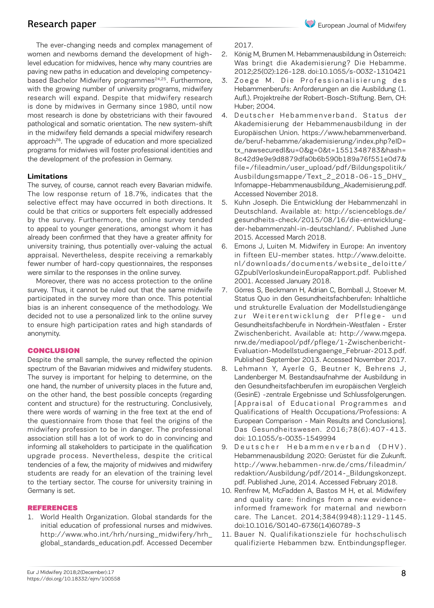The ever-changing needs and complex management of women and newborns demand the development of highlevel education for midwives, hence why many countries are paving new paths in education and developing competencybased Bachelor Midwifery programmes<sup>24,25</sup>. Furthermore, with the growing number of university programs, midwifery research will expand. Despite that midwifery research is done by midwives in Germany since 1980, until now most research is done by obstetricians with their favoured pathological and somatic orientation. The new system-shift in the midwifery field demands a special midwifery research approach<sup>26</sup>. The upgrade of education and more specialized programs for midwives will foster professional identities and the development of the profession in Germany.

### **Limitations**

The survey, of course, cannot reach every Bavarian midwife. The low response return of 18.7%, indicates that the selective effect may have occurred in both directions. It could be that critics or supporters felt especially addressed by the survey. Furthermore, the online survey tended to appeal to younger generations, amongst whom it has already been confirmed that they have a greater affinity for university training, thus potentially over-valuing the actual appraisal. Nevertheless, despite receiving a remarkably fewer number of hard-copy questionnaires, the responses were similar to the responses in the online survey.

Moreover, there was no access protection to the online survey. Thus, it cannot be ruled out that the same midwife participated in the survey more than once. This potential bias is an inherent consequence of the methodology. We decided not to use a personalized link to the online survey to ensure high participation rates and high standards of anonymity.

### **CONCLUSION**

Despite the small sample, the survey reflected the opinion spectrum of the Bavarian midwives and midwifery students. The survey is important for helping to determine, on the one hand, the number of university places in the future and, on the other hand, the best possible concepts (regarding content and structure) for the restructuring. Conclusively, there were words of warning in the free text at the end of the questionnaire from those that feel the origins of the midwifery profession to be in danger. The professional association still has a lot of work to do in convincing and informing all stakeholders to participate in the qualification upgrade process. Nevertheless, despite the critical tendencies of a few, the majority of midwives and midwifery students are ready for an elevation of the training level to the tertiary sector. The course for university training in Germany is set.

### REFERENCES

1. World Health Organization. Global standards for the initial education of professional nurses and midwives. http://www.who.int/hrh/nursing\_midwifery/hrh\_ global\_standards\_education.pdf. Accessed December

2017.

- 2. König M, Brumen M. Hebammenausbildung in Österreich: Was bringt die Akademisierung? Die Hebamme. 2012;25(02):126-128. doi:10.1055/s-0032-1310421
- 3. Zoege M. Die Professionalisierung des Hebammenberufs: Anforderungen an die Ausbildung (1. Aufl.). Projektreihe der Robert-Bosch-Stiftung. Bern, CH: Huber; 2004.
- 4. Deutscher Hebammenverband. Status der Akademisierung der Hebammenausbildung in der Europäischen Union. https://www.hebammenverband. de/beruf-hebamme/akademisierung/index.php?eID= tx\_nawsecuredl&u=0&g=0&t=1551348783&hash= 8c42d9e9e9d8879dfa0b6b590b189a76f551e0d7& file=/fileadmin/user\_upload/pdf/Bildungspolitik/ Ausbildungsmappe/Text\_2\_2018-06-15\_DHV\_ Infomappe-Hebammenausbildung\_Akademisierung.pdf. Accessed November 2018.
- 5. Kuhn Joseph. Die Entwicklung der Hebammenzahl in Deutschland. Available at: http://scienceblogs.de/ gesundheits-check/2015/08/16/die-entwicklungder-hebammenzahl-in-deutschland/. Published June 2015. Accessed March 2018.
- 6. Emons J, Luiten M. Midwifery in Europe: An inventory in fifteen EU-member states. http://www.deloitte. nl/downloads/documents/website\_deloitte/ GZpublVerloskundeinEuropaRapport.pdf. Published 2001. Accessed January 2018.
- 7. Görres S, Beckmann H, Adrian C, Bomball J, Stoever M. Status Quo in den Gesundheitsfachberufen: Inhaltliche und strukturelle Evaluation der Modellstudiengänge zur Weiterentwicklung der Pflege- und Gesundheitsfachberufe in Nordrhein-Westfalen - Erster Zwischenbericht. Available at: http://www.mgepa. nrw.de/mediapool/pdf/pflege/1-Zwischenbericht-Evaluation-Modellstudiengaenge\_Februar-2013.pdf. Published September 2013. Accessed November 2017.
- 8. Lehmann Y, Ayerle G, Beutner K, Behrens J, Landenberger M. Bestandsaufnahme der Ausbildung in den Gesundheitsfachberufen im europäischen Vergleich (GesinE) -zentrale Ergebnisse und Schlussfolgerungen. [Appraisal of Educational Programmes and Qualifications of Health Occupations/Professions: A European Comparison - Main Results and Conclusions]. Das Gesundheitswesen. 2016;78(6):407-413. doi: 10.1055/s-0035-1549994
- 9. Deutscher Hebammenverband (DHV). Hebammenausbildung 2020: Gerüstet für die Zukunft. http://www.hebammen-nrw.de/cms/fileadmin/ redaktion/Ausbildung/pdf/2014-\_Bildungskonzept. pdf. Published June, 2014. Accessed February 2018.
- 10. Renfrew M, McFadden A, Bastos M H, et al. Midwifery and quality care: findings from a new evidenceinformed framework for maternal and newborn care. The Lancet. 2014;384(9948):1129-1145. doi:10.1016/S0140-6736(14)60789-3
- 11. Bauer N. Qualifikationsziele für hochschulisch qualifizierte Hebammen bzw. Entbindungspfleger.